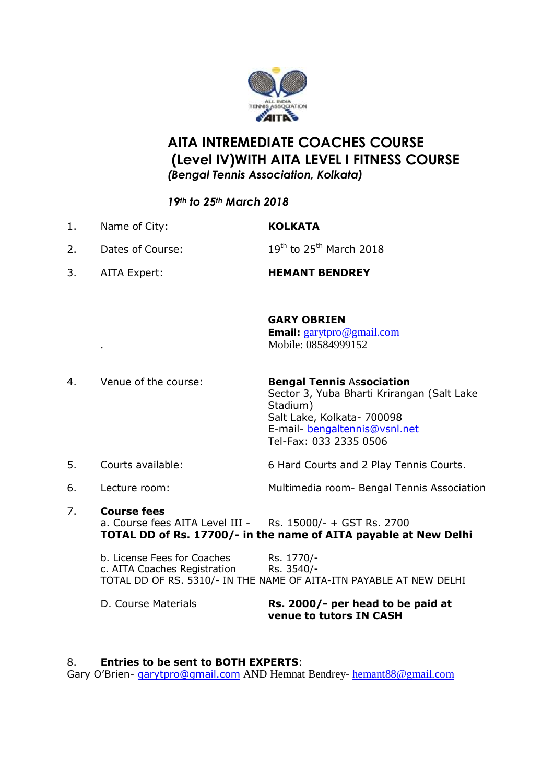

# **AITA INTREMEDIATE COACHES COURSE (Level IV)WITH AITA LEVEL I FITNESS COURSE** *(Bengal Tennis Association, Kolkata)*

## *19th to 25th March 2018*

- 1. Name of City: **KOLKATA** 2. Dates of Course:  $19^{th}$  to  $25^{th}$  March 2018
- 3. AITA Expert: **HEMANT BENDREY**

#### **GARY OBRIEN**

**Email:** [garytpro@gmail.com](mailto:garytpro@gmail.com) . Mobile: 08584999152

- 4. Venue of the course: **Bengal Tennis** As**sociation** Sector 3, Yuba Bharti Krirangan (Salt Lake Stadium) Salt Lake, Kolkata- 700098 E-mail- [bengaltennis@vsnl.net](mailto:bengaltennis@vsnl.net) Tel-Fax: 033 2335 0506
- 5. Courts available: 6 Hard Courts and 2 Play Tennis Courts.
- 

6. Lecture room: Multimedia room- Bengal Tennis Association

7. **Course fees** a. Course fees AITA Level III - Rs. 15000/- + GST Rs. 2700 **TOTAL DD of Rs. 17700/- in the name of AITA payable at New Delhi**

b. License Fees for Coaches Rs. 1770/c. AITA Coaches Registration Rs. 3540/- TOTAL DD OF RS. 5310/- IN THE NAME OF AITA-ITN PAYABLE AT NEW DELHI

D. Course Materials **Rs. 2000/- per head to be paid at venue to tutors IN CASH**

#### 8. **Entries to be sent to BOTH EXPERTS**:

Gary O'Brien- [garytpro@gmail.com](mailto:garytpro@gmail.com) AND Hemnat Bendrey- [hemant88@gmail.com](mailto:hemant88@gmail.com)